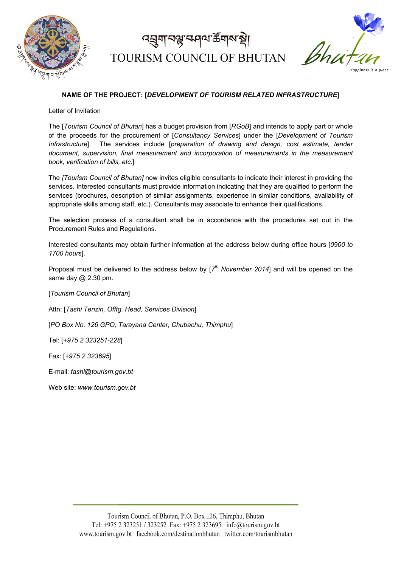

## *ব*য়ুমা বঙ্ক কৰি মুখ্য স্থা TOURISM COUNCIL OF BHUTAN



### **NAME OF THE PROJECT: [***DEVELOPMENT OF TOURISM RELATED INFRASTRUCTURE***]**

Letter of Invitation

The [*Tourism Council of Bhutan*] has a budget provision from [*RGoB*] and intends to apply part or whole of the proceeds for the procurement of [*Consultancy Services*] under the [*Development of Tourism Infrastructure*]. The services include [*preparation of drawing and design, cost estimate, tender document, supervision, final measurement and incorporation of measurements in the measurement book, verification of bills, etc.*]

The *[Tourism Council of Bhutan]* now invites eligible consultants to indicate their interest in providing the services. Interested consultants must provide information indicating that they are qualified to perform the services (brochures, description of similar assignments, experience in similar conditions, availability of appropriate skills among staff, etc.). Consultants may associate to enhance their qualifications.

The selection process of a consultant shall be in accordance with the procedures set out in the Procurement Rules and Regulations.

Interested consultants may obtain further information at the address below during office hours [*0900 to 1700 hours*].

Proposal must be delivered to the address below by [*7th November 2014*] and will be opened on the same day @ 2.30 pm.

[*Tourism Council of Bhutan*]

Attn: [*Tashi Tenzin, Offtg. Head, Services Division*]

[*PO Box No. 126 GPO, Tarayana Center, Chubachu, Thimphu*]

Tel: [*+975 2 323251-228*]

Fax: [*+975 2 323695*]

E-mail: *tashi@tourism.gov.bt*

Web site: *www.tourism.gov.bt*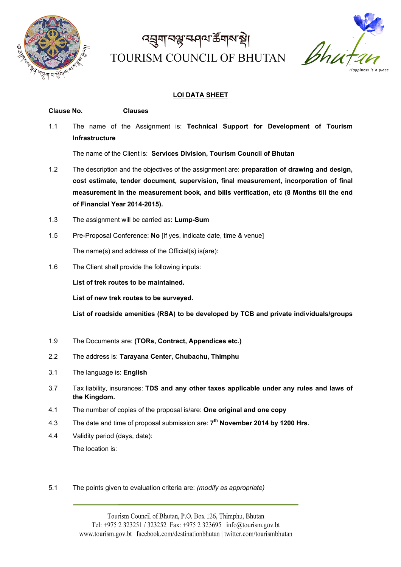

# ෬෪ॴॾऻॾॳॳख़ TOURISM COUNCIL OF BHUTAN



### **LOI DATA SHEET**

### **Clause No. Clauses** 1.1 The name of the Assignment is: **Technical Support for Development of Tourism Infrastructure** The name of the Client is: **Services Division, Tourism Council of Bhutan** 1.2 The description and the objectives of the assignment are: **preparation of drawing and design, cost estimate, tender document, supervision, final measurement, incorporation of final measurement in the measurement book, and bills verification, etc (8 Months till the end of Financial Year 2014-2015).**

- 1.3 The assignment will be carried as**: Lump-Sum**
- 1.5 Pre-Proposal Conference: **No** [If yes, indicate date, time & venue] The name(s) and address of the Official(s) is(are):
- 1.6 The Client shall provide the following inputs:

**List of trek routes to be maintained.**

**List of new trek routes to be surveyed.**

**List of roadside amenities (RSA) to be developed by TCB and private individuals/groups**

- 1.9 The Documents are: **(TORs, Contract, Appendices etc.)**
- 2.2 The address is: **Tarayana Center, Chubachu, Thimphu**
- 3.1 The language is: **English**
- 3.7 Tax liability, insurances: **TDS and any other taxes applicable under any rules and laws of the Kingdom.**
- 4.1 The number of copies of the proposal is/are: **One original and one copy**
- 4.3 The date and time of proposal submission are: **7th November 2014 by 1200 Hrs.**
- 4.4 Validity period (days, date): The location is:
- 5.1 The points given to evaluation criteria are: *(modify as appropriate)*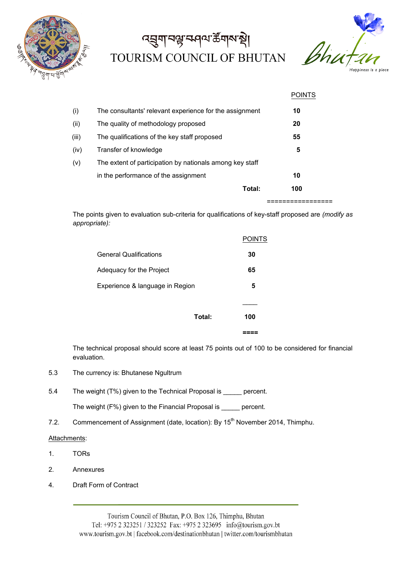

## ෬য়ৣয়ঢ়ড়ৢঢ়ড়ড়৸ড়ৢঢ় TOURISM COUNCIL OF BHUTAN



|       |                                                          | <b>POINTS</b> |
|-------|----------------------------------------------------------|---------------|
| (i)   | The consultants' relevant experience for the assignment  | 10            |
| (ii)  | The quality of methodology proposed                      | 20            |
| (iii) | The qualifications of the key staff proposed             | 55            |
| (iv)  | Transfer of knowledge                                    | 5             |
| (v)   | The extent of participation by nationals among key staff |               |
|       | in the performance of the assignment                     | 10            |
|       | Total:                                                   | 100           |
|       |                                                          |               |

The points given to evaluation sub-criteria for qualifications of key-staff proposed are *(modify as appropriate):*

| Total:                          | 100           |
|---------------------------------|---------------|
|                                 |               |
| Experience & language in Region | 5             |
| Adequacy for the Project        | 65            |
| <b>General Qualifications</b>   | 30            |
|                                 | <b>POINTS</b> |

The technical proposal should score at least 75 points out of 100 to be considered for financial evaluation.

- 5.3 The currency is: Bhutanese Ngultrum
- 5.4 The weight (T%) given to the Technical Proposal is \_\_\_\_\_ percent.

The weight (F%) given to the Financial Proposal is \_\_\_\_\_ percent.

7.2. Commencement of Assignment (date, location): By 15<sup>th</sup> November 2014, Thimphu.

#### Attachments:

- 1. TORs
- 2. Annexures
- 4. Draft Form of Contract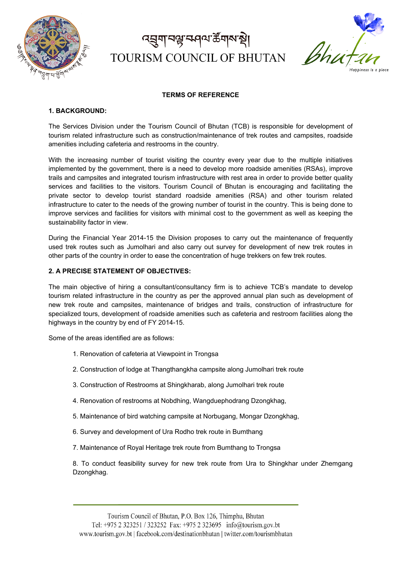

## *ব*য়ুমা বঙ্ক কৰি মুখ্য স্থা TOURISM COUNCIL OF BHUTAN



### **TERMS OF REFERENCE**

#### **1. BACKGROUND:**

The Services Division under the Tourism Council of Bhutan (TCB) is responsible for development of tourism related infrastructure such as construction/maintenance of trek routes and campsites, roadside amenities including cafeteria and restrooms in the country.

With the increasing number of tourist visiting the country every year due to the multiple initiatives implemented by the government, there is a need to develop more roadside amenities (RSAs), improve trails and campsites and integrated tourism infrastructure with rest area in order to provide better quality services and facilities to the visitors. Tourism Council of Bhutan is encouraging and facilitating the private sector to develop tourist standard roadside amenities (RSA) and other tourism related infrastructure to cater to the needs of the growing number of tourist in the country. This is being done to improve services and facilities for visitors with minimal cost to the government as well as keeping the sustainability factor in view.

During the Financial Year 2014-15 the Division proposes to carry out the maintenance of frequently used trek routes such as Jumolhari and also carry out survey for development of new trek routes in other parts of the country in order to ease the concentration of huge trekkers on few trek routes.

#### **2. A PRECISE STATEMENT OF OBJECTIVES:**

The main objective of hiring a consultant/consultancy firm is to achieve TCB's mandate to develop tourism related infrastructure in the country as per the approved annual plan such as development of new trek route and campsites, maintenance of bridges and trails, construction of infrastructure for specialized tours, development of roadside amenities such as cafeteria and restroom facilities along the highways in the country by end of FY 2014-15.

Some of the areas identified are as follows:

- 1. Renovation of cafeteria at Viewpoint in Trongsa
- 2. Construction of lodge at Thangthangkha campsite along Jumolhari trek route
- 3. Construction of Restrooms at Shingkharab, along Jumolhari trek route
- 4. Renovation of restrooms at Nobdhing, Wangduephodrang Dzongkhag,
- 5. Maintenance of bird watching campsite at Norbugang, Mongar Dzongkhag,
- 6. Survey and development of Ura Rodho trek route in Bumthang
- 7. Maintenance of Royal Heritage trek route from Bumthang to Trongsa

8. To conduct feasibility survey for new trek route from Ura to Shingkhar under Zhemgang Dzongkhag.

Tourism Council of Bhutan, P.O. Box 126, Thimphu, Bhutan Tel: +975 2 323251 / 323252 Fax: +975 2 323695 info@tourism.gov.bt www.tourism.gov.bt | facebook.com/destinationbhutan | twitter.com/tourismbhutan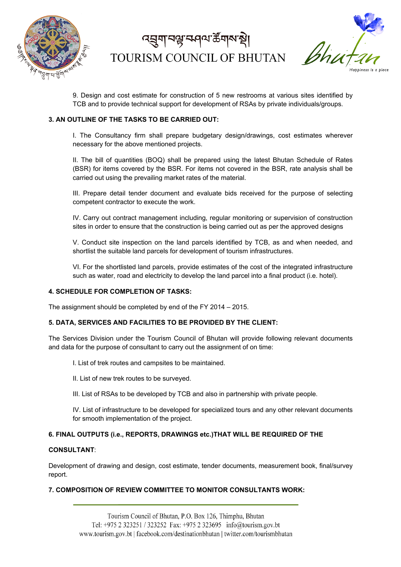

*ব*য়ুমা বঙ্ক কৰি মুখ্য স্থা TOURISM COUNCIL OF BHUTAN



9. Design and cost estimate for construction of 5 new restrooms at various sites identified by TCB and to provide technical support for development of RSAs by private individuals/groups.

### **3. AN OUTLINE OF THE TASKS TO BE CARRIED OUT:**

I. The Consultancy firm shall prepare budgetary design/drawings, cost estimates wherever necessary for the above mentioned projects.

II. The bill of quantities (BOQ) shall be prepared using the latest Bhutan Schedule of Rates (BSR) for items covered by the BSR. For items not covered in the BSR, rate analysis shall be carried out using the prevailing market rates of the material.

III. Prepare detail tender document and evaluate bids received for the purpose of selecting competent contractor to execute the work.

IV. Carry out contract management including, regular monitoring or supervision of construction sites in order to ensure that the construction is being carried out as per the approved designs

V. Conduct site inspection on the land parcels identified by TCB, as and when needed, and shortlist the suitable land parcels for development of tourism infrastructures.

VI. For the shortlisted land parcels, provide estimates of the cost of the integrated infrastructure such as water, road and electricity to develop the land parcel into a final product (i.e. hotel).

#### **4. SCHEDULE FOR COMPLETION OF TASKS:**

The assignment should be completed by end of the FY 2014 – 2015.

#### **5. DATA, SERVICES AND FACILITIES TO BE PROVIDED BY THE CLIENT:**

The Services Division under the Tourism Council of Bhutan will provide following relevant documents and data for the purpose of consultant to carry out the assignment of on time:

- I. List of trek routes and campsites to be maintained.
- II. List of new trek routes to be surveyed.
- III. List of RSAs to be developed by TCB and also in partnership with private people.

IV. List of infrastructure to be developed for specialized tours and any other relevant documents for smooth implementation of the project.

#### **6. FINAL OUTPUTS (i.e., REPORTS, DRAWINGS etc.)THAT WILL BE REQUIRED OF THE**

#### **CONSULTANT**:

Development of drawing and design, cost estimate, tender documents, measurement book, final/survey report.

### **7. COMPOSITION OF REVIEW COMMITTEE TO MONITOR CONSULTANTS WORK:**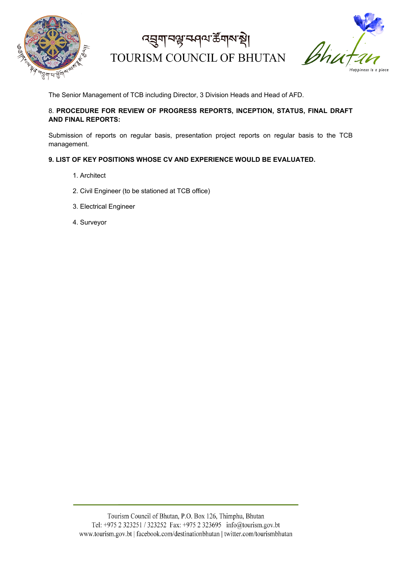

द्मुगानञ्जज्ञ्सवाय केंगारा हो। TOURISM COUNCIL OF BHUTAN



The Senior Management of TCB including Director, 3 Division Heads and Head of AFD.

### 8. **PROCEDURE FOR REVIEW OF PROGRESS REPORTS, INCEPTION, STATUS, FINAL DRAFT AND FINAL REPORTS:**

Submission of reports on regular basis, presentation project reports on regular basis to the TCB management.

### **9. LIST OF KEY POSITIONS WHOSE CV AND EXPERIENCE WOULD BE EVALUATED.**

- 1. Architect
- 2. Civil Engineer (to be stationed at TCB office)
- 3. Electrical Engineer
- 4. Surveyor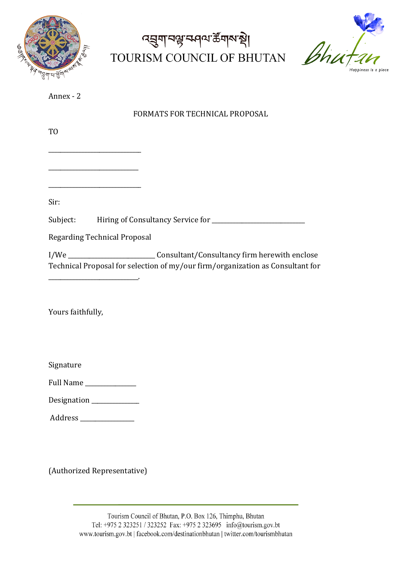

## द्मुगानञ्जज्ञ्सवाय केंगारा हो। TOURISM COUNCIL OF BHUTAN



| Annex |  |
|-------|--|
|       |  |

FORMATS FOR TECHNICAL PROPOSAL

TO

\_\_\_\_\_\_\_\_\_\_\_\_\_\_\_\_\_\_\_\_\_\_\_\_\_\_\_\_\_\_

\_\_\_\_\_\_\_\_\_\_\_\_\_\_\_\_\_\_\_\_\_\_\_\_\_\_\_\_\_\_\_

\_\_\_\_\_\_\_\_\_\_\_\_\_\_\_\_\_\_\_\_\_\_\_\_\_\_\_\_\_\_\_

Sir:

Subject: Hiring of Consultancy Service for \_\_\_\_\_\_\_\_\_\_\_\_\_\_\_\_\_\_\_\_\_\_\_\_\_\_\_\_\_\_\_

Regarding Technical Proposal

I/We \_\_\_\_\_\_\_\_\_\_\_\_\_\_\_\_\_\_\_\_\_\_\_\_\_\_\_\_\_ Consultant/Consultancy firm herewith enclose Technical Proposal for selection of my/our firm/organization as Consultant for \_\_\_\_\_\_\_\_\_\_\_\_\_\_\_\_\_\_\_\_\_\_\_\_\_\_\_\_\_\_.

Yours faithfully,

Signature 

Full Name \_\_\_\_\_\_\_\_\_\_\_\_\_\_\_\_\_

Designation \_\_\_\_\_\_\_\_\_\_\_\_\_\_\_\_ 

Address \_\_\_\_\_\_\_\_\_\_\_\_\_\_\_\_\_\_

(Authorized Representative)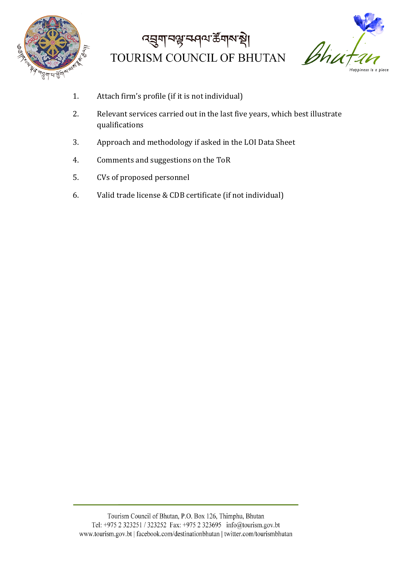

# द्मुगानञ्जन्मवारा के गारा स् TOURISM COUNCIL OF BHUTAN



- 1. Attach firm's profile (if it is not individual)
- 2. Relevant services carried out in the last five years, which best illustrate qualifications
- 3. Approach and methodology if asked in the LOI Data Sheet
- 4. Comments and suggestions on the ToR
- 5. CVs of proposed personnel
- 6. Valid trade license & CDB certificate (if not individual)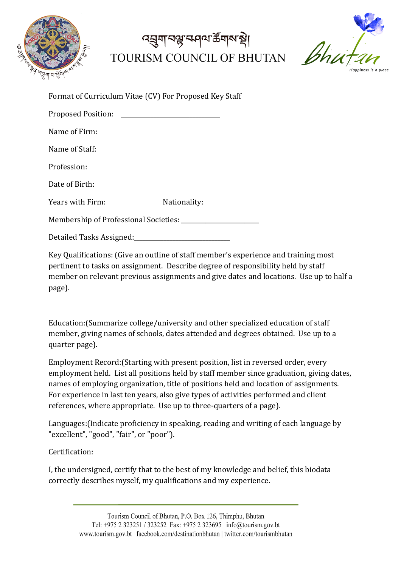

## *ব্*য়ুনান্দ্ৰ কৰণে ক্লমৰী TOURISM COUNCIL OF BHUTAN



| Format of Curriculum Vitae (CV) For Proposed Key Staff                                         |              |
|------------------------------------------------------------------------------------------------|--------------|
| <b>Proposed Position:</b>                                                                      |              |
| Name of Firm:                                                                                  |              |
| Name of Staff:                                                                                 |              |
| Profession:                                                                                    |              |
| Date of Birth:                                                                                 |              |
| Years with Firm:                                                                               | Nationality: |
|                                                                                                |              |
| Detailed Tasks Assigned: National Assignment of the United States and Detailed Tasks Assigned: |              |

Key Qualifications: (Give an outline of staff member's experience and training most pertinent to tasks on assignment. Describe degree of responsibility held by staff member on relevant previous assignments and give dates and locations. Use up to half a page).

Education: (Summarize college/university and other specialized education of staff member, giving names of schools, dates attended and degrees obtained. Use up to a quarter page).

Employment Record: (Starting with present position, list in reversed order, every employment held. List all positions held by staff member since graduation, giving dates, names of employing organization, title of positions held and location of assignments. For experience in last ten years, also give types of activities performed and client references, where appropriate. Use up to three-quarters of a page).

Languages: (Indicate proficiency in speaking, reading and writing of each language by "excellent", "good", "fair", or "poor").

Certification:

I, the undersigned, certify that to the best of my knowledge and belief, this biodata correctly describes myself, my qualifications and my experience.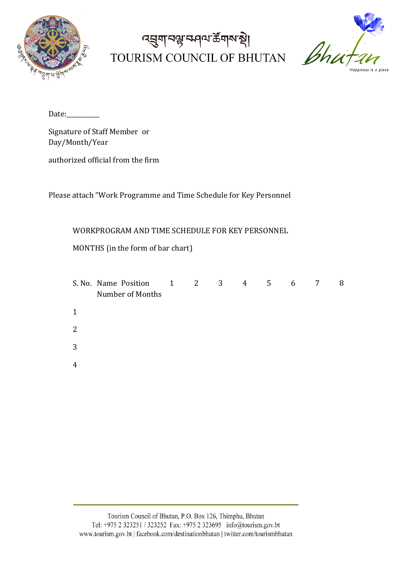

# द्जुगानञ्जन्मवा केंगरान्ने। TOURISM COUNCIL OF BHUTAN



Date:\_\_\_\_\_\_\_\_\_\_\_

Signature of Staff Member or Day/Month/Year

authorized official from the firm

Please attach "Work Programme and Time Schedule for Key Personnel

WORKPROGRAM AND TIME SCHEDULE FOR KEY PERSONNEL

MONTHS (in the form of bar chart)

|                | S. No. Name Position 1 2 3 4 5 6 7<br>Number of Months |  |  |  | 8 |
|----------------|--------------------------------------------------------|--|--|--|---|
| 1              |                                                        |  |  |  |   |
| 2              |                                                        |  |  |  |   |
| 3              |                                                        |  |  |  |   |
| $\overline{4}$ |                                                        |  |  |  |   |
|                |                                                        |  |  |  |   |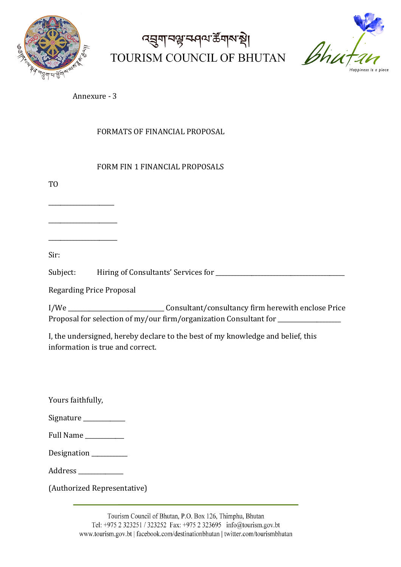

# ৰ্ঘ্ৰুণান্ম কৰা উত্তৰ পৰি TOURISM COUNCIL OF BHUTAN



Annexure - 3

FORMATS OF FINANCIAL PROPOSAL

### FORM FIN 1 FINANCIAL PROPOSALS

TO

\_\_\_\_\_\_\_\_\_\_\_\_\_\_\_\_\_\_\_\_\_\_

\_\_\_\_\_\_\_\_\_\_\_\_\_\_\_\_\_\_\_\_\_\_\_

\_\_\_\_\_\_\_\_\_\_\_\_\_\_\_\_\_\_\_\_\_\_\_

Sir:

Subject: Hiring of Consultants' Services for \_\_\_\_\_\_\_\_\_\_\_\_\_\_\_\_\_\_\_\_\_\_\_\_\_\_\_\_\_\_\_\_\_\_\_\_\_\_\_\_\_\_\_

Regarding Price Proposal

I/We \_\_\_\_\_\_\_\_\_\_\_\_\_\_\_\_\_\_\_\_\_\_\_\_\_\_\_\_\_\_\_\_Consultant/consultancy firm herewith enclose Price Proposal for selection of my/our firm/organization Consultant for \_\_\_\_\_\_\_\_\_\_\_\_\_\_\_

I, the undersigned, hereby declare to the best of my knowledge and belief, this information is true and correct.

Yours faithfully,

| Signature |  |
|-----------|--|
|-----------|--|

| <b>Full Name</b> |  |
|------------------|--|
|                  |  |

Designation

Address \_\_\_\_\_\_\_\_\_\_\_\_\_\_\_

(Authorized Representative)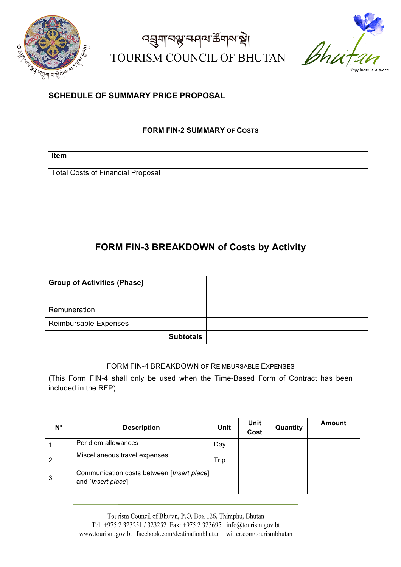

## द्मुगानञ्जज्ञ्सवाय के गाय हो। TOURISM COUNCIL OF BHUTAN



### **SCHEDULE OF SUMMARY PRICE PROPOSAL**

### **FORM FIN-2 SUMMARY OF COSTS**

| <b>Item</b>                              |  |
|------------------------------------------|--|
| <b>Total Costs of Financial Proposal</b> |  |
|                                          |  |

### **FORM FIN-3 BREAKDOWN of Costs by Activity**

| <b>Group of Activities (Phase)</b> |  |
|------------------------------------|--|
| Remuneration                       |  |
| Reimbursable Expenses              |  |
| <b>Subtotals</b>                   |  |

### FORM FIN-4 BREAKDOWN OF REIMBURSABLE EXPENSES

(This Form FIN-4 shall only be used when the Time-Based Form of Contract has been included in the RFP)

| $N^{\circ}$ | <b>Description</b>                                               | Unit | Unit<br>Cost | Quantity | Amount |
|-------------|------------------------------------------------------------------|------|--------------|----------|--------|
|             | Per diem allowances                                              | Day  |              |          |        |
| 2           | Miscellaneous travel expenses                                    | Trip |              |          |        |
| 3           | Communication costs between [Insert place]<br>and [Insert place] |      |              |          |        |

Tourism Council of Bhutan, P.O. Box 126, Thimphu, Bhutan Tel: +975 2 323251 / 323252 Fax: +975 2 323695 info@tourism.gov.bt www.tourism.gov.bt | facebook.com/destinationbhutan | twitter.com/tourismbhutan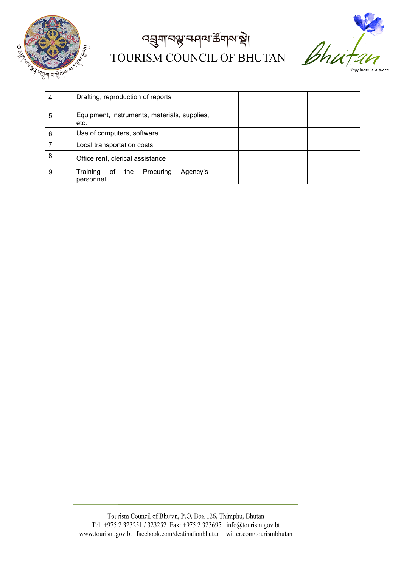

# द्धुगानञ्जन्मवा केंगलश्री TOURISM COUNCIL OF BHUTAN



Happiness is a place

| 4 | Drafting, reproduction of reports                           |
|---|-------------------------------------------------------------|
| 5 | Equipment, instruments, materials, supplies,<br>etc.        |
| 6 | Use of computers, software                                  |
|   | Local transportation costs                                  |
| 8 | Office rent, clerical assistance                            |
| 9 | Training<br>Agency's<br>Procuring<br>the<br>οf<br>personnel |

Tourism Council of Bhutan, P.O. Box 126, Thimphu, Bhutan Tel: +975 2 323251 / 323252 Fax: +975 2 323695 info@tourism.gov.bt www.tourism.gov.bt | facebook.com/destinationbhutan | twitter.com/tourismbhutan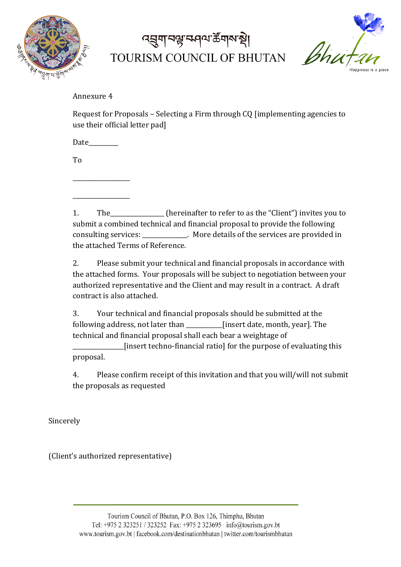

## ৰ্ঘ্ৰুণবিষ্ট কৰি কুৱাৰ প্ৰা TOURISM COUNCIL OF BHUTAN



Annexure 4

Request for Proposals – Selecting a Firm through  $CQ$  [implementing agencies to use their official letter padl

Date

\_\_\_\_\_\_\_\_\_\_\_\_\_\_\_\_\_\_\_

\_\_\_\_\_\_\_\_\_\_\_\_\_\_\_\_\_\_\_

To

1. The netally the refer to refer to as the "Client" invites you to submit a combined technical and financial proposal to provide the following consulting services: \_\_\_\_\_\_\_\_\_\_\_\_. More details of the services are provided in the attached Terms of Reference.

2. Please submit your technical and financial proposals in accordance with the attached forms. Your proposals will be subject to negotiation between your authorized representative and the Client and may result in a contract. A draft contract is also attached.

3. Your technical and financial proposals should be submitted at the following address, not later than \_\_\_\_\_\_\_\_\_\_\_\_[insert date, month, year]. The technical and financial proposal shall each bear a weightage of

\_\_\_\_\_\_\_\_\_\_\_\_\_\_\_\_\_[insert techno-financial ratio] for the purpose of evaluating this proposal.

4. Please confirm receipt of this invitation and that you will/will not submit the proposals as requested

Sincerely

(Client's authorized representative)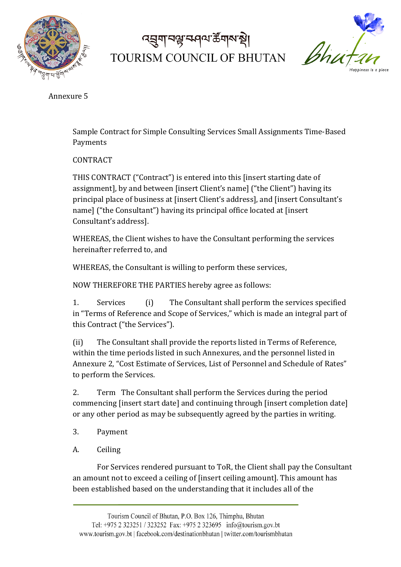

# ৰ্ঘ্ৰুণাব্দ্বন্দ্ৰণৰাক্টনাৰ্থ TOURISM COUNCIL OF BHUTAN



Annexure 5

Sample Contract for Simple Consulting Services Small Assignments Time-Based Payments

CONTRACT

THIS CONTRACT ("Contract") is entered into this [insert starting date of assignment], by and between [insert Client's name] ("the Client") having its principal place of business at [insert Client's address], and [insert Consultant's name] ("the Consultant") having its principal office located at [insert] Consultant's address].

WHEREAS, the Client wishes to have the Consultant performing the services hereinafter referred to, and

WHEREAS, the Consultant is willing to perform these services,

NOW THEREFORE THE PARTIES hereby agree as follows:

1. Services (i) The Consultant shall perform the services specified in "Terms of Reference and Scope of Services," which is made an integral part of this Contract ("the Services").

(ii) The Consultant shall provide the reports listed in Terms of Reference, within the time periods listed in such Annexures, and the personnel listed in Annexure 2, "Cost Estimate of Services, List of Personnel and Schedule of Rates" to perform the Services.

2. Term The Consultant shall perform the Services during the period commencing [insert start date] and continuing through [insert completion date] or any other period as may be subsequently agreed by the parties in writing.

- 3. Payment
- A. Ceiling

For Services rendered pursuant to ToR, the Client shall pay the Consultant an amount not to exceed a ceiling of [insert ceiling amount]. This amount has been established based on the understanding that it includes all of the